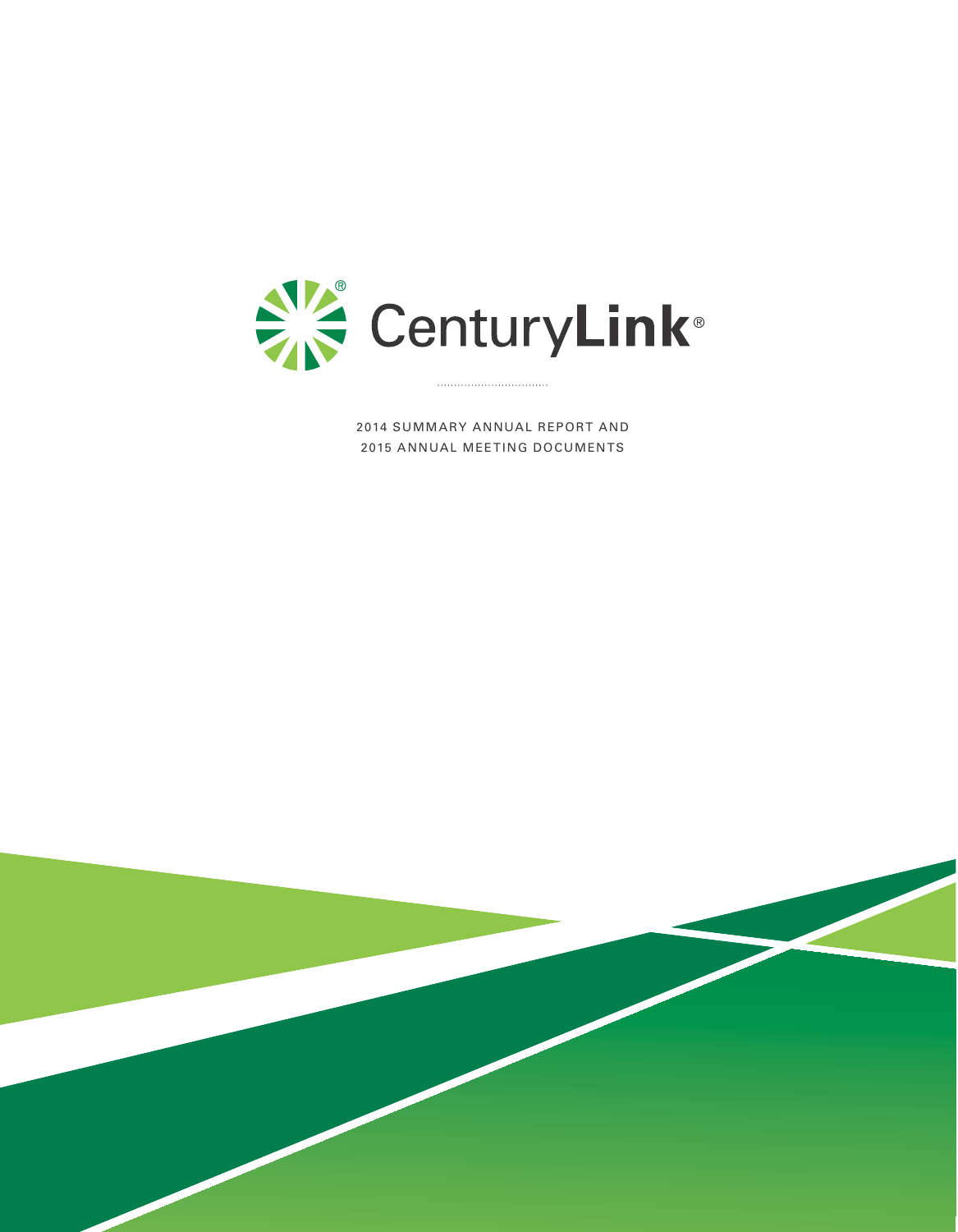

2014 SUMMARY ANNUAL REPORT AND 2015 ANNUAL MEETING DOCUMENTS

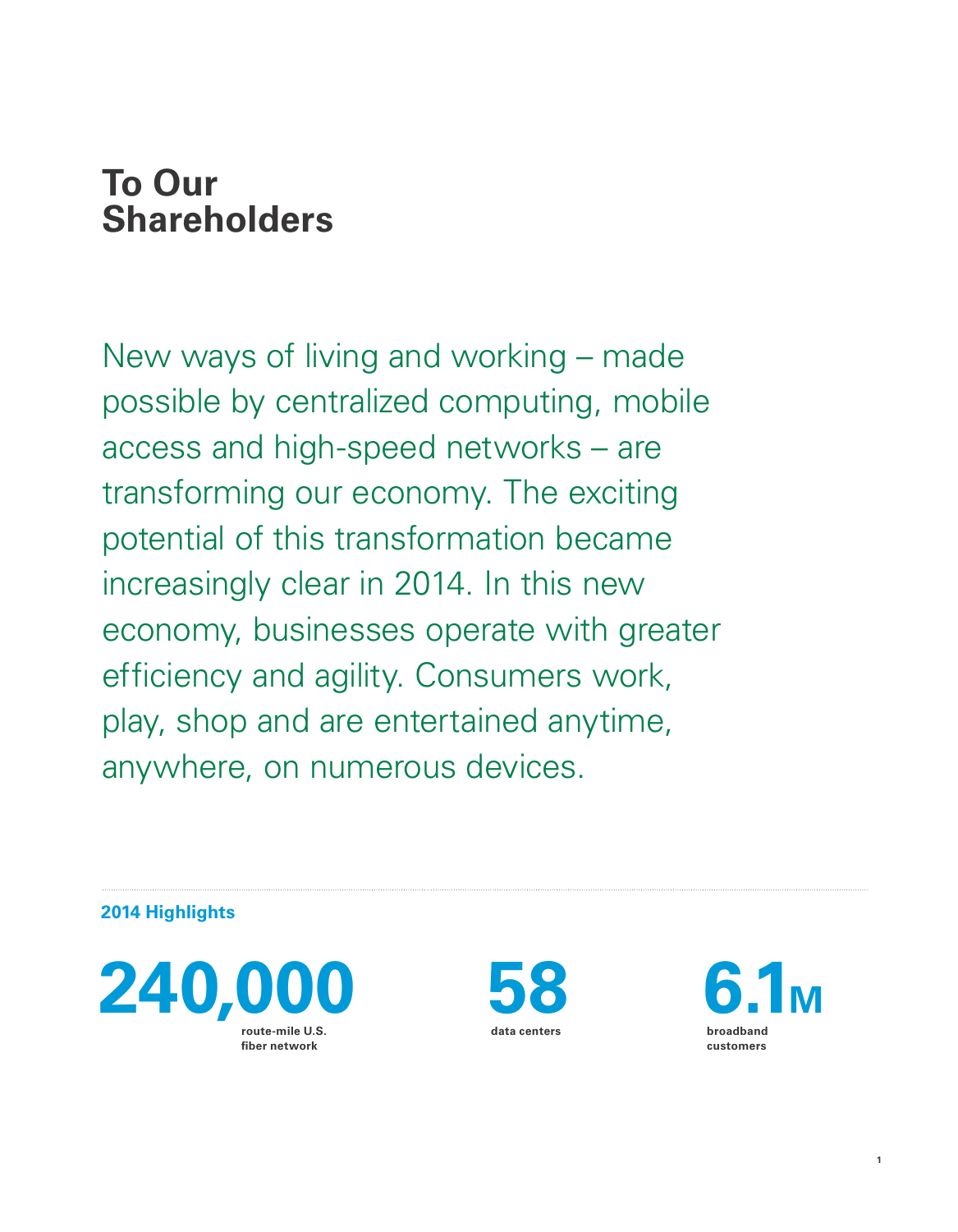## **To Our Shareholders**

New ways of living and working – made possible by centralized computing, mobile access and high-speed networks – are transforming our economy. The exciting potential of this transformation became increasingly clear in 2014. In this new economy, businesses operate with greater efficiency and agility. Consumers work, play, shop and are entertained anytime, anywhere, on numerous devices.

**2014 Highlights**

**240,0 route-mile U.S. fiber network**



**broadband customers 6.1**м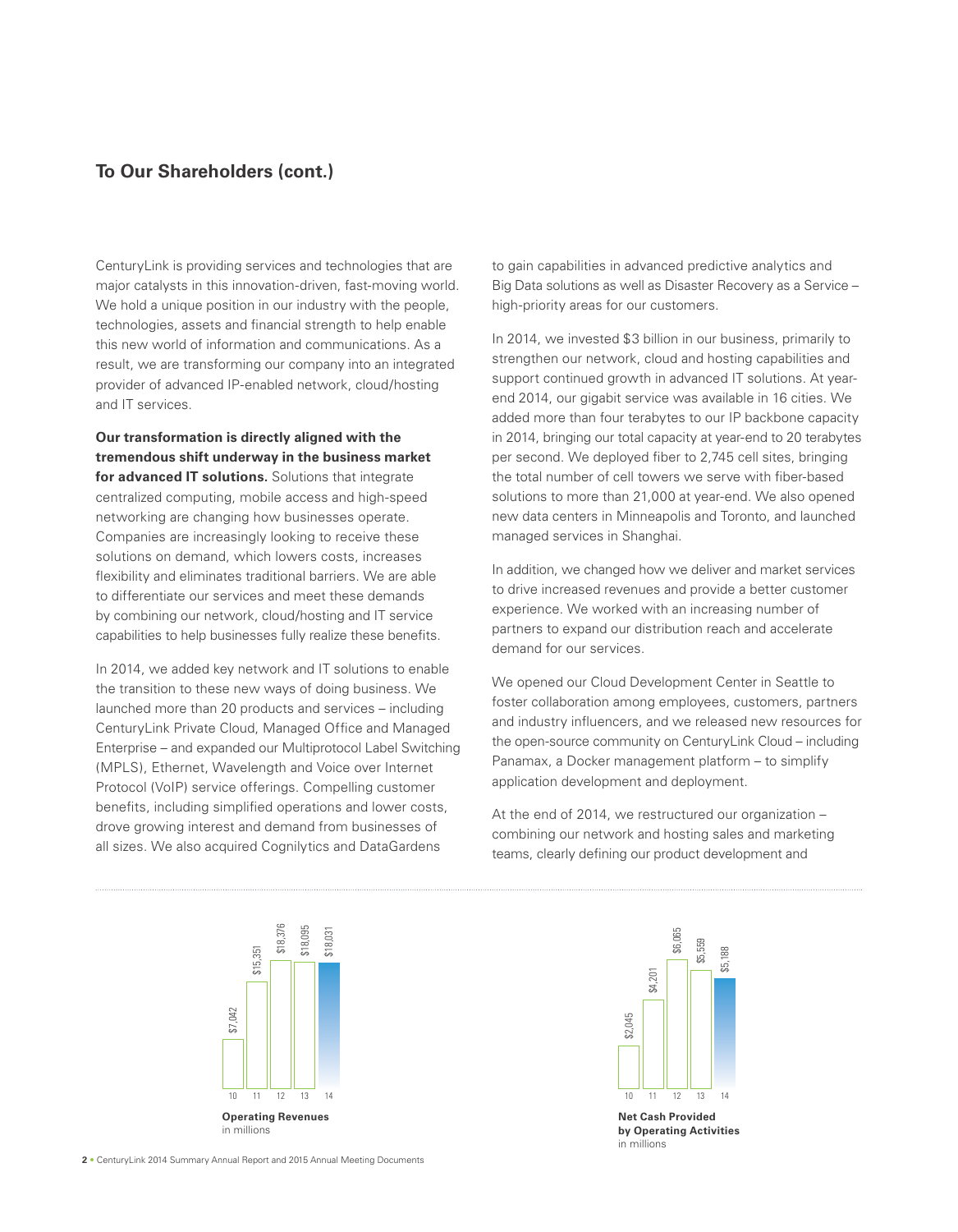## **To Our Shareholders (cont.)**

CenturyLink is providing services and technologies that are major catalysts in this innovation-driven, fast-moving world. We hold a unique position in our industry with the people, technologies, assets and financial strength to help enable this new world of information and communications. As a result, we are transforming our company into an integrated provider of advanced IP-enabled network, cloud/hosting and IT services.

**Our transformation is directly aligned with the tremendous shift underway in the business market for advanced IT solutions.** Solutions that integrate centralized computing, mobile access and high-speed networking are changing how businesses operate. Companies are increasingly looking to receive these solutions on demand, which lowers costs, increases flexibility and eliminates traditional barriers. We are able to differentiate our services and meet these demands by combining our network, cloud/hosting and IT service capabilities to help businesses fully realize these benefits.

In 2014, we added key network and IT solutions to enable the transition to these new ways of doing business. We launched more than 20 products and services – including CenturyLink Private Cloud, Managed Office and Managed Enterprise – and expanded our Multiprotocol Label Switching (MPLS), Ethernet, Wavelength and Voice over Internet Protocol (VoIP) service offerings. Compelling customer benefits, including simplified operations and lower costs, drove growing interest and demand from businesses of all sizes. We also acquired Cognilytics and DataGardens

to gain capabilities in advanced predictive analytics and Big Data solutions as well as Disaster Recovery as a Service – high-priority areas for our customers.

In 2014, we invested \$3 billion in our business, primarily to strengthen our network, cloud and hosting capabilities and support continued growth in advanced IT solutions. At yearend 2014, our gigabit service was available in 16 cities. We added more than four terabytes to our IP backbone capacity in 2014, bringing our total capacity at year-end to 20 terabytes per second. We deployed fiber to 2,745 cell sites, bringing the total number of cell towers we serve with fiber-based solutions to more than 21,000 at year-end. We also opened new data centers in Minneapolis and Toronto, and launched managed services in Shanghai.

In addition, we changed how we deliver and market services to drive increased revenues and provide a better customer experience. We worked with an increasing number of partners to expand our distribution reach and accelerate demand for our services.

We opened our Cloud Development Center in Seattle to foster collaboration among employees, customers, partners and industry influencers, and we released new resources for the open-source community on CenturyLink Cloud – including Panamax, a Docker management platform – to simplify application development and deployment.

At the end of 2014, we restructured our organization – combining our network and hosting sales and marketing teams, clearly defining our product development and

> \$6,065 \$5,559 \$5,188





**Net Cash Provided by Operating Activities** in millions

**2** • CenturyLink 2014 Summary Annual Report and 2015 Annual Meeting Documents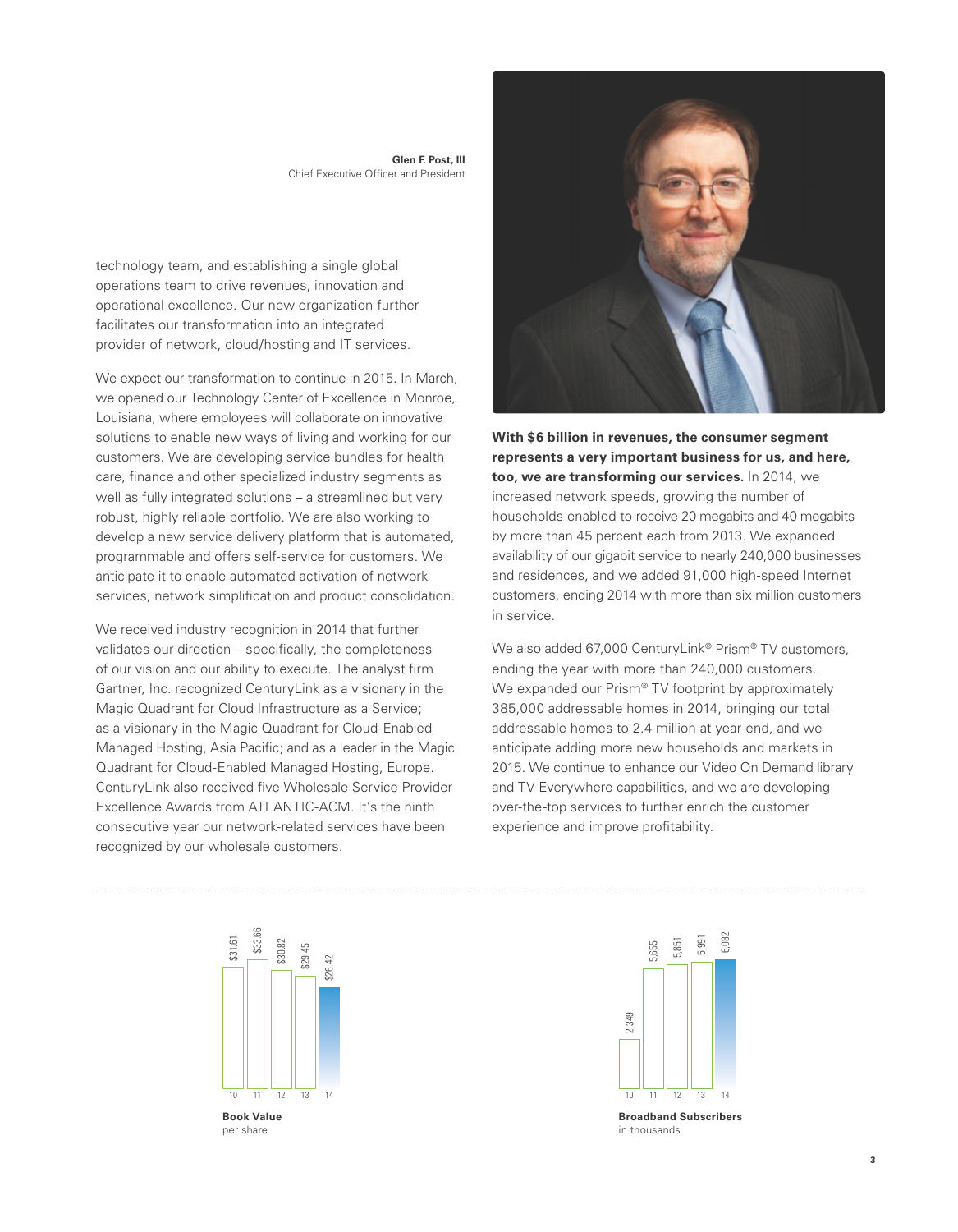**Glen F. Post, III** Chief Executive Officer and President

technology team, and establishing a single global operations team to drive revenues, innovation and operational excellence. Our new organization further facilitates our transformation into an integrated provider of network, cloud/hosting and IT services.

We expect our transformation to continue in 2015. In March, we opened our Technology Center of Excellence in Monroe, Louisiana, where employees will collaborate on innovative solutions to enable new ways of living and working for our customers. We are developing service bundles for health care, finance and other specialized industry segments as well as fully integrated solutions – a streamlined but very robust, highly reliable portfolio. We are also working to develop a new service delivery platform that is automated, programmable and offers self-service for customers. We anticipate it to enable automated activation of network services, network simplification and product consolidation.

We received industry recognition in 2014 that further validates our direction – specifically, the completeness of our vision and our ability to execute. The analyst firm Gartner, Inc. recognized CenturyLink as a visionary in the Magic Quadrant for Cloud Infrastructure as a Service; as a visionary in the Magic Quadrant for Cloud-Enabled Managed Hosting, Asia Pacific; and as a leader in the Magic Quadrant for Cloud-Enabled Managed Hosting, Europe. CenturyLink also received five Wholesale Service Provider Excellence Awards from ATLANTIC-ACM. It's the ninth consecutive year our network-related services have been recognized by our wholesale customers.



**With \$6 billion in revenues, the consumer segment represents a very important business for us, and here, too, we are transforming our services.** In 2014, we increased network speeds, growing the number of households enabled to receive 20 megabits and 40 megabits by more than 45 percent each from 2013. We expanded availability of our gigabit service to nearly 240,000 businesses and residences, and we added 91,000 high-speed Internet customers, ending 2014 with more than six million customers in service.

We also added 67,000 CenturyLink<sup>®</sup> Prism<sup>®</sup> TV customers, ending the year with more than 240,000 customers. We expanded our Prism<sup>®</sup> TV footprint by approximately 385,000 addressable homes in 2014, bringing our total addressable homes to 2.4 million at year-end, and we anticipate adding more new households and markets in 2015. We continue to enhance our Video On Demand library and TV Everywhere capabilities, and we are developing over-the-top services to further enrich the customer experience and improve profitability.



**Book Value** per share



**Broadband Subscribers** in thousands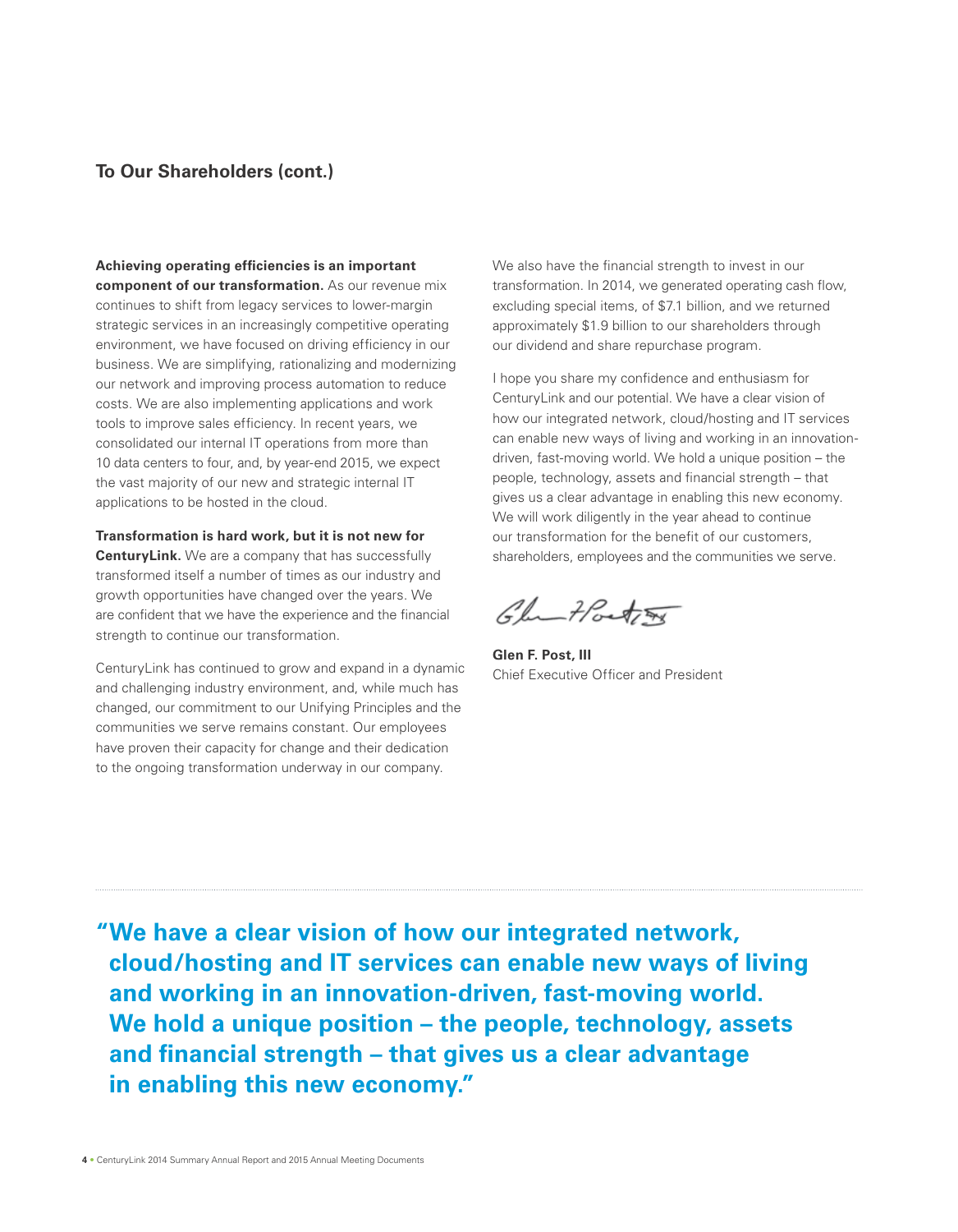## **To Our Shareholders (cont.)**

**Achieving operating efficiencies is an important component of our transformation.** As our revenue mix continues to shift from legacy services to lower-margin strategic services in an increasingly competitive operating environment, we have focused on driving efficiency in our business. We are simplifying, rationalizing and modernizing our network and improving process automation to reduce costs. We are also implementing applications and work tools to improve sales efficiency. In recent years, we consolidated our internal IT operations from more than 10 data centers to four, and, by year-end 2015, we expect the vast majority of our new and strategic internal IT applications to be hosted in the cloud.

**Transformation is hard work, but it is not new for** 

**CenturyLink.** We are a company that has successfully transformed itself a number of times as our industry and growth opportunities have changed over the years. We are confident that we have the experience and the financial strength to continue our transformation.

CenturyLink has continued to grow and expand in a dynamic and challenging industry environment, and, while much has changed, our commitment to our Unifying Principles and the communities we serve remains constant. Our employees have proven their capacity for change and their dedication to the ongoing transformation underway in our company.

We also have the financial strength to invest in our transformation. In 2014, we generated operating cash flow, excluding special items, of \$7.1 billion, and we returned approximately \$1.9 billion to our shareholders through our dividend and share repurchase program.

I hope you share my confidence and enthusiasm for CenturyLink and our potential. We have a clear vision of how our integrated network, cloud/hosting and IT services can enable new ways of living and working in an innovationdriven, fast-moving world. We hold a unique position – the people, technology, assets and financial strength – that gives us a clear advantage in enabling this new economy. We will work diligently in the year ahead to continue our transformation for the benefit of our customers, shareholders, employees and the communities we serve.

Chan Hosting

**Glen F. Post, III** Chief Executive Officer and President

**" We have a clear vision of how our integrated network, cloud/hosting and IT services can enable new ways of living and working in an innovation-driven, fast-moving world. We hold a unique position – the people, technology, assets and financial strength – that gives us a clear advantage in enabling this new economy."**